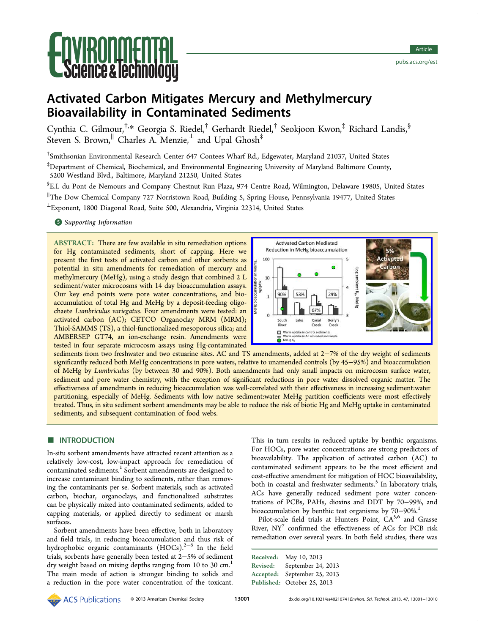# **Ce & lechnol**

## Activated Carbon Mitigates Mercury and Methylmercury Bioavailability in Contaminated Sediments

Cynthia C. Gilmour,<sup>†,</sup>[\\*](#page-7-0) Georgia S. Riedel,<sup>†</sup> Gerhardt Riedel,<sup>†</sup> Seokjoon Kwon,<sup>‡</sup> Richard Landis,<sup>§</sup> Steven S. Brown,  $^{\parallel}$  Charles A. Menzie,  $^{\perp}$  and Upal Ghosh $^{\ddagger}$ 

† Smithsonian Environmental Research Center 647 Contees Wharf Rd., Edgewater, Maryland 21037, United States

 $^{\ddagger}$ Department of Chemical, Biochemical, and Environmental Engineering University of Maryland Baltimore County, 5200 Westland Blvd., Baltimore, Maryland 21250, United States

§ E.I. du Pont de Nemours and Company Chestnut Run Plaza, 974 Centre Road, Wilmington, Delaware 19805, United States

∥ The Dow Chemical Company 727 Norristown Road, Building 5, Spring House, Pennsylvania 19477, United States

<sup>⊥</sup>Exponent, 1800 Diagonal Road, Suite 500, Alexandria, Virginia 22314, United States

**S** [Supporting Information](#page-7-0)

ABSTRACT: There are few available in situ remediation options for Hg contaminated sediments, short of capping. Here we present the first tests of activated carbon and other sorbents as potential in situ amendments for remediation of mercury and methylmercury (MeHg), using a study design that combined 2 L sediment/water microcosms with 14 day bioaccumulation assays. Our key end points were pore water concentrations, and bioaccumulation of total Hg and MeHg by a deposit-feeding oligochaete Lumbriculus variegatus. Four amendments were tested: an activated carbon (AC); CETCO Organoclay MRM (MRM); Thiol-SAMMS (TS), a thiol-functionalized mesoporous silica; and AMBERSEP GT74, an ion-exchange resin. Amendments were tested in four separate microcosm assays using Hg-contaminated



sediments from two freshwater and two estuarine sites. AC and TS amendments, added at 2−7% of the dry weight of sediments significantly reduced both MeHg concentrations in pore waters, relative to unamended controls (by 45−95%) and bioaccumulation of MeHg by Lumbriculus (by between 30 and 90%). Both amendments had only small impacts on microcosm surface water, sediment and pore water chemistry, with the exception of significant reductions in pore water dissolved organic matter. The effectiveness of amendments in reducing bioaccumulation was well-correlated with their effectiveness in increasing sediment:water partitioning, especially of MeHg. Sediments with low native sediment:water MeHg partition coefficients were most effectively treated. Thus, in situ sediment sorbent amendments may be able to reduce the risk of biotic Hg and MeHg uptake in contaminated sediments, and subsequent contamination of food webs.

### **ENTRODUCTION**

In-situ sorbent amendments have attracted recent attention as a relatively low-cost, low-impact approach for remediation of contaminated sediments.<sup>[1](#page-7-0)</sup> Sorbent amendments are designed to increase contaminant binding to sediments, rather than removing the contaminants per se. Sorbent materials, such as activated carbon, biochar, organoclays, and functionalized substrates can be physically mixed into contaminated sediments, added to capping materials, or applied directly to sediment or marsh surfaces.

Sorbent amendments have been effective, both in laboratory and field trials, in reducing bioaccumulation and thus risk of hydrophobic organic contaminants (HOCs).<sup>[2](#page-7-0)−[8](#page-7-0)</sup> In the field trials, sorbents have generally been tested at 2−5% of sediment dry weight based on mixing depths ranging from [1](#page-7-0)0 to 30 cm.<sup>1</sup> The main mode of action is stronger binding to solids and a reduction in the pore water concentration of the toxicant.

This in turn results in reduced uptake by benthic organisms. For HOCs, pore water concentrations are strong predictors of bioavailability. The application of activated carbon (AC) to contaminated sediment appears to be the most efficient and cost-effective amendment for mitigation of HOC bioavailability, both in coastal and freshwater sediments.<sup>[5](#page-7-0)</sup> In laboratory trials, ACs have generally reduced sediment pore water concentrations of PCBs, PAHs, dioxins and DDT by 70−99%, and bioaccumulation by benthic test organisms by 70−90%.[1](#page-7-0)

Pilot-scale field trials at Hunters Point, CA<sup>5,6</sup> and Grasse River,  $NY^7$  $NY^7$  confirmed the effectiveness of ACs for PCB risk remediation over several years. In both field studies, there was

Received: May 10, 2013 Revised: September 24, 2013 Accepted: September 25, 2013 Published: October 25, 2013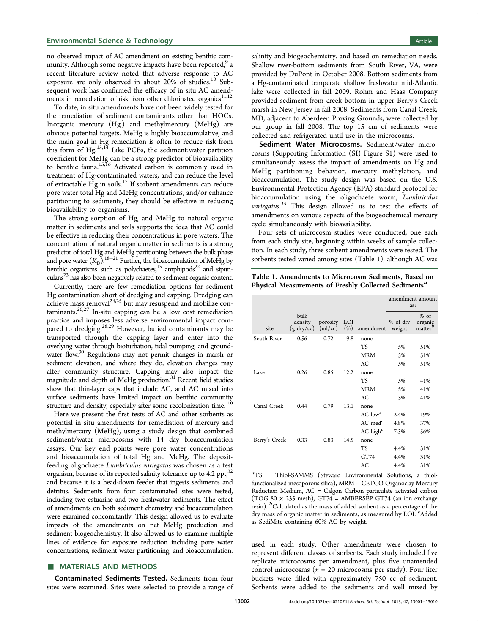<span id="page-1-0"></span>no observed impact of AC amendment on existing benthic com-munity. Although some negative impacts have been reported,<sup>[9](#page-7-0)</sup> a recent literature review noted that adverse response to AC exposure are only observed in about 20% of studies.<sup>[10](#page-7-0)</sup> Subsequent work has confirmed the efficacy of in situ AC amendments in remediation of risk from other chlorinated organics $^{11,12}$ 

To date, in situ amendments have not been widely tested for the remediation of sediment contaminants other than HOCs. Inorganic mercury (Hgi ) and methylmercury (MeHg) are obvious potential targets. MeHg is highly bioaccumulative, and the main goal in Hg remediation is often to reduce risk from this form of Hg.<sup>[13,14](#page-8-0)</sup> Like PCBs, the sediment:water partition coefficient for MeHg can be a strong predictor of bioavailability to benthic fauna.<sup>[15](#page-8-0),[16](#page-8-0)</sup> Activated carbon is commonly used in treatment of Hg-contaminated waters, and can reduce the level of extractable  $Hg$  in soils.<sup>[17](#page-8-0)</sup> If sorbent amendments can reduce pore water total Hg and MeHg concentrations, and/or enhance partitioning to sediments, they should be effective in reducing bioavailability to organisms.

The strong sorption of Hg<sub>i</sub> and MeHg to natural organic matter in sediments and soils supports the idea that AC could be effective in reducing their concentrations in pore waters. The concentration of natural organic matter in sediments is a strong predictor of total Hg and MeHg partitioning between the bulk phase and pore water  $(K_D)$ .<sup>18−[21](#page-8-0)</sup> Further, the bioaccumulation of MeHg by benthic organisms such as polychaetes, $15$  amphipods $22$  and sipunculans<sup>23</sup> has also been negatively related to sediment organic content.

Currently, there are few remediation options for sediment Hg contamination short of dredging and capping. Dredging can achieve mass removal $24,25$  but may resuspend and mobilize contaminants.[26](#page-8-0),[27](#page-8-0) In-situ capping can be a low cost remediation practice and imposes less adverse environmental impact com-pared to dredging.<sup>[28,29](#page-8-0)</sup> However, buried contaminants may be transported through the capping layer and enter into the overlying water through bioturbation, tidal pumping, and ground-water flow.<sup>[30](#page-8-0)</sup> Regulations may not permit changes in marsh or sediment elevation, and where they do, elevation changes may alter community structure. Capping may also impact the magnitude and depth of MeHg production.[31](#page-8-0) Recent field studies show that thin-layer caps that include AC, and AC mixed into surface sediments have limited impact on benthic community structure and density, especially after some recolonization time.<sup>[10](#page-7-0)</sup>

Here we present the first tests of AC and other sorbents as potential in situ amendments for remediation of mercury and methylmercury (MeHg), using a study design that combined sediment/water microcosms with 14 day bioaccumulation assays. Our key end points were pore water concentrations and bioaccumulation of total Hg and MeHg. The depositfeeding oligochaete Lumbriculus variegatus was chosen as a test organism, because of its reported salinity tolerance up to 4.2 ppt,  $32$ and because it is a head-down feeder that ingests sediments and detritus. Sediments from four contaminated sites were tested, including two estuarine and two freshwater sediments. The effect of amendments on both sediment chemistry and bioaccumulation were examined concomitantly. This design allowed us to evaluate impacts of the amendments on net MeHg production and sediment biogeochemistry. It also allowed us to examine multiple lines of evidence for exposure reduction including pore water concentrations, sediment water partitioning, and bioaccumulation.

#### ■ MATERIALS AND METHODS

Contaminated Sediments Tested. Sediments from four sites were examined. Sites were selected to provide a range of

salinity and biogeochemistry. and based on remediation needs. Shallow river-bottom sediments from South River, VA, were provided by DuPont in October 2008. Bottom sediments from a Hg-contaminated temperate shallow freshwater mid-Atlantic lake were collected in fall 2009. Rohm and Haas Company provided sediment from creek bottom in upper Berry's Creek marsh in New Jersey in fall 2008. Sediments from Canal Creek, MD, adjacent to Aberdeen Proving Grounds, were collected by our group in fall 2008. The top 15 cm of sediments were collected and refrigerated until use in the microcosms.

Sediment Water Microcosms. Sediment/water microcosms [\(Supporting Information \(SI\)](#page-7-0) Figure S1) were used to simultaneously assess the impact of amendments on Hg and MeHg partitioning behavior, mercury methylation, and bioaccumulation. The study design was based on the U.S. Environmental Protection Agency (EPA) standard protocol for bioaccumulation using the oligochaete worm, Lumbriculus variegatus.<sup>[33](#page-8-0)</sup> This design allowed us to test the effects of amendments on various aspects of the biogeochemical mercury cycle simultaneously with bioavailability.

Four sets of microcosm studies were conducted, one each from each study site, beginning within weeks of sample collection. In each study, three sorbent amendments were tested. The sorbents tested varied among sites (Table 1), although AC was

Table 1. Amendments to Microcosm Sediments, Based on Physical Measurements of Freshly Collected Sediments<sup>a</sup>

|               |                                                   |          |            |                        | amendment amount<br>as: |                                          |
|---------------|---------------------------------------------------|----------|------------|------------------------|-------------------------|------------------------------------------|
| site          | bulk<br>density<br>$(g \, \text{dry/cc})$ (ml/cc) | porosity | LOI<br>(%) | amendment              | % of dry<br>weight      | $%$ of<br>organic<br>matter <sup>b</sup> |
| South River   | 0.56                                              | 0.72     | 9.8        | none                   |                         |                                          |
|               |                                                   |          |            | <b>TS</b>              | 5%                      | 51%                                      |
|               |                                                   |          |            | <b>MRM</b>             | 5%                      | 51%                                      |
|               |                                                   |          |            | AC                     | 5%                      | 51%                                      |
| Lake          | 0.26                                              | 0.85     | 12.2       | none                   |                         |                                          |
|               |                                                   |          |            | <b>TS</b>              | 5%                      | 41%                                      |
|               |                                                   |          |            | <b>MRM</b>             | 5%                      | 41%                                      |
|               |                                                   |          |            | AC                     | 5%                      | 41%                                      |
| Canal Creek   | 0.44                                              | 0.79     | 13.1       | none                   |                         |                                          |
|               |                                                   |          |            | $AC$ low <sup>c</sup>  | 2.4%                    | 19%                                      |
|               |                                                   |          |            | $AC \text{ med}^c$     | 4.8%                    | 37%                                      |
|               |                                                   |          |            | $AC$ high <sup>c</sup> | 7.3%                    | 56%                                      |
| Berry's Creek | 0.33                                              | 0.83     | 14.5       | none                   |                         |                                          |
|               |                                                   |          |            | TS                     | 4.4%                    | 31%                                      |
|               |                                                   |          |            | GT74                   | 4.4%                    | 31%                                      |
|               |                                                   |          |            | AC                     | 4.4%                    | 31%                                      |
|               |                                                   |          |            |                        |                         |                                          |

a TS = Thiol-SAMMS (Steward Environmental Solutions; a thiolfunctionalized mesoporous silica), MRM = CETCO Organoclay Mercury Reduction Medium, AC = Calgon Carbon particulate activated carbon (TOG 80  $\times$  235 mesh), GT74 = AMBERSEP GT74 (an ion exchange resin). <sup>b</sup>Calculated as the mass of added sorbent as a percentage of the dry mass of organic matter in sediments, as measured by LOI. <sup>c</sup>Added as SediMite containing 60% AC by weight.

used in each study. Other amendments were chosen to represent different classes of sorbents. Each study included five replicate microcosms per amendment, plus five unamended control microcosms ( $n = 20$  microcosms per study). Four liter buckets were filled with approximately 750 cc of sediment. Sorbents were added to the sediments and well mixed by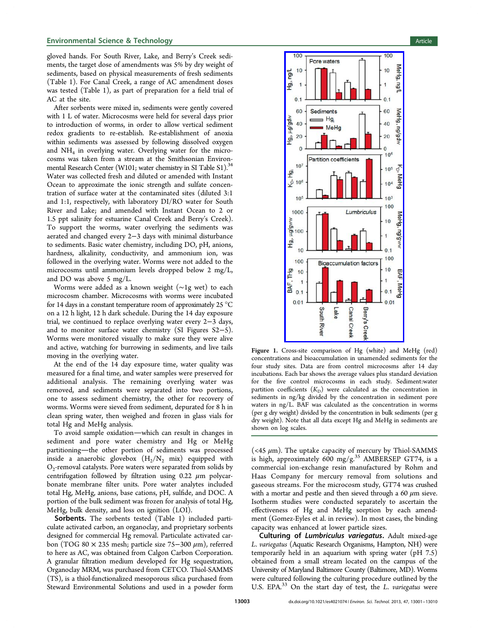#### <span id="page-2-0"></span>**Environmental Science & Technology Article** Article 30 and 30 and 30 and 30 and 30 and 30 and 30 and 30 and 30 and 30 and 30 and 30 and 30 and 30 and 30 and 30 and 30 and 30 and 30 and 30 and 30 and 30 and 30 and 30 and 3

gloved hands. For South River, Lake, and Berry's Creek sediments, the target dose of amendments was 5% by dry weight of sediments, based on physical measurements of fresh sediments (Table [1\)](#page-1-0). For Canal Creek, a range of AC amendment doses was tested (Table [1](#page-1-0)), as part of preparation for a field trial of AC at the site.

After sorbents were mixed in, sediments were gently covered with 1 L of water. Microcosms were held for several days prior to introduction of worms, in order to allow vertical sediment redox gradients to re-establish. Re-establishment of anoxia within sediments was assessed by following dissolved oxygen and NH4 in overlying water. Overlying water for the microcosms was taken from a stream at the Smithsonian Environ-mental Research Center (W101; water chemistry in [SI](#page-7-0) Table S1).<sup>34</sup> Water was collected fresh and diluted or amended with Instant Ocean to approximate the ionic strength and sulfate concentration of surface water at the contaminated sites (diluted 3:1 and 1:1, respectively, with laboratory DI/RO water for South River and Lake; and amended with Instant Ocean to 2 or 1.5 ppt salinity for estuarine Canal Creek and Berry's Creek). To support the worms, water overlying the sediments was aerated and changed every 2−3 days with minimal disturbance to sediments. Basic water chemistry, including DO, pH, anions, hardness, alkalinity, conductivity, and ammonium ion, was followed in the overlying water. Worms were not added to the microcosms until ammonium levels dropped below 2 mg/L, and DO was above 5 mg/L.

Worms were added as a known weight (∼1g wet) to each microcosm chamber. Microcosms with worms were incubated for 14 days in a constant temperature room of approximately 25 °C on a 12 h light, 12 h dark schedule. During the 14 day exposure trial, we continued to replace overlying water every 2−3 days, and to monitor surface water chemistry ([SI](#page-7-0) Figures S2−5). Worms were monitored visually to make sure they were alive and active, watching for burrowing in sediments, and live tails moving in the overlying water.

At the end of the 14 day exposure time, water quality was measured for a final time, and water samples were preserved for additional analysis. The remaining overlying water was removed, and sediments were separated into two portions, one to assess sediment chemistry, the other for recovery of worms. Worms were sieved from sediment, depurated for 8 h in clean spring water, then weighed and frozen in glass vials for total Hg and MeHg analysis.

To avoid sample oxidation—which can result in changes in sediment and pore water chemistry and Hg or MeHg partitioning-the other portion of sediments was processed inside a anaerobic glovebox  $(H_2/N_2 \text{ mix})$  equipped with  $O_2$ -removal catalysts. Pore waters were separated from solids by centrifugation followed by filtration using  $0.22 \mu m$  polycarbonate membrane filter units. Pore water analytes included total Hg, MeHg, anions, base cations, pH, sulfide, and DOC. A portion of the bulk sediment was frozen for analysis of total Hg, MeHg, bulk density, and loss on ignition (LOI).

Sorbents. The sorbents tested (Table [1\)](#page-1-0) included particulate activated carbon, an organoclay, and proprietary sorbents designed for commercial Hg removal. Particulate activated carbon (TOG 80 × 235 mesh; particle size 75−300 μm), referred to here as AC, was obtained from Calgon Carbon Corporation. A granular filtration medium developed for Hg sequestration, Organoclay MRM, was purchased from CETCO. Thiol-SAMMS (TS), is a thiol-functionalized mesoporous silica purchased from Steward Environmental Solutions and used in a powder form



Figure 1. Cross-site comparison of Hg (white) and MeHg (red) concentrations and bioaccumulation in unamended sediments for the four study sites. Data are from control microcosms after 14 day incubations. Each bar shows the average values plus standard deviation for the five control microcosms in each study. Sediment:water partition coefficients  $(K_D)$  were calculated as the concentration in sediments in ng/kg divided by the concentration in sediment pore waters in ng/L. BAF was calculated as the concentration in worms (per g dry weight) divided by the concentration in bulk sediments (per g dry weight). Note that all data except Hg and MeHg in sediments are shown on log scales.

(<45  $\mu$ m). The uptake capacity of mercury by Thiol-SAMMS is high, approximately 600 mg/g.<sup>[35](#page-8-0)</sup> AMBERSEP GT74, is a commercial ion-exchange resin manufactured by Rohm and Haas Company for mercury removal from solutions and gaseous streams. For the microcosm study, GT74 was crushed with a mortar and pestle and then sieved through a 60  $\mu$ m sieve. Isotherm studies were conducted separately to ascertain the effectiveness of Hg and MeHg sorption by each amendment (Gomez-Eyles et al. in review). In most cases, the binding capacity was enhanced at lower particle sizes.

Culturing of Lumbriculus variegatus. Adult mixed-age L. variegatus (Aquatic Research Organisms, Hampton, NH) were temporarily held in an aquarium with spring water (pH 7.5) obtained from a small stream located on the campus of the University of Maryland Baltimore County (Baltimore, MD). Worms were cultured following the culturing procedure outlined by the U.S. EPA.<sup>[33](#page-8-0)</sup> On the start day of test, the L. variegatus were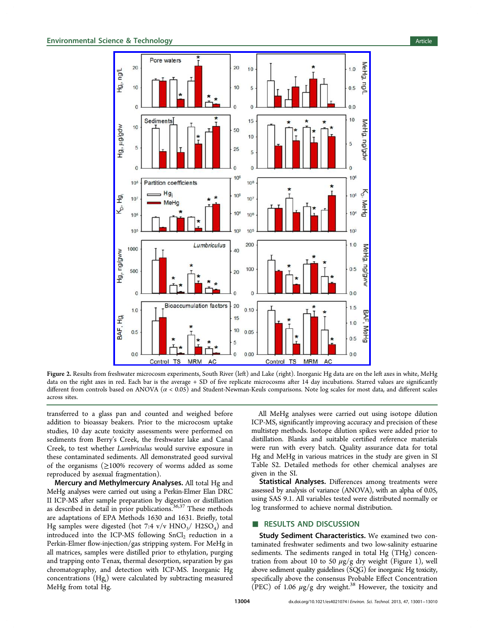<span id="page-3-0"></span>

Figure 2. Results from freshwater microcosm experiments, South River (left) and Lake (right). Inorganic Hg data are on the left axes in white, MeHg data on the right axes in red. Each bar is the average + SD of five replicate microcosms after 14 day incubations. Starred values are significantly different from controls based on ANOVA  $(\alpha < 0.05)$  and Student-Newman-Keuls comparisons. Note log scales for most data, and different scales across sites.

transferred to a glass pan and counted and weighed before addition to bioassay beakers. Prior to the microcosm uptake studies, 10 day acute toxicity assessments were performed on sediments from Berry's Creek, the freshwater lake and Canal Creek, to test whether Lumbriculus would survive exposure in these contaminated sediments. All demonstrated good survival of the organisms  $(≥100%$  recovery of worms added as some reproduced by asexual fragmentation).

Mercury and Methylmercury Analyses. All total Hg and MeHg analyses were carried out using a Perkin-Elmer Elan DRC II ICP-MS after sample preparation by digestion or distillation as described in detail in prior publications.<sup>[36](#page-8-0),[37](#page-8-0)</sup> These methods are adaptations of EPA Methods 1630 and 1631. Briefly, total Hg samples were digested (hot 7:4  $v/v$  HNO<sub>3</sub>/ H2SO<sub>4</sub>) and introduced into the ICP-MS following  $SnCl<sub>2</sub>$  reduction in a Perkin-Elmer flow-injection/gas stripping system. For MeHg in all matrices, samples were distilled prior to ethylation, purging and trapping onto Tenax, thermal desorption, separation by gas chromatography, and detection with ICP-MS. Inorganic Hg concentrations (Hgi ) were calculated by subtracting measured MeHg from total Hg.

All MeHg analyses were carried out using isotope dilution ICP-MS, significantly improving accuracy and precision of these multistep methods. Isotope dilution spikes were added prior to distillation. Blanks and suitable certified reference materials were run with every batch. Quality assurance data for total Hg and MeHg in various matrices in the study are given in [SI](#page-7-0) Table S2. Detailed methods for other chemical analyses are given in the [SI.](#page-7-0)

Statistical Analyses. Differences among treatments were assessed by analysis of variance (ANOVA), with an alpha of 0.05, using SAS 9.1. All variables tested were distributed normally or log transformed to achieve normal distribution.

#### ■ RESULTS AND DISCUSSION

Study Sediment Characteristics. We examined two contaminated freshwater sediments and two low-salinity estuarine sediments. The sediments ranged in total Hg (THg) concentration from about 10 to 50  $\mu$ g/g dry weight (Figure [1\)](#page-2-0), well above sediment quality guidelines (SQG) for inorganic Hg toxicity, specifically above the consensus Probable Effect Concentration (PEC) of 1.06  $\mu$ g/g dry weight.<sup>[38](#page-8-0)</sup> However, the toxicity and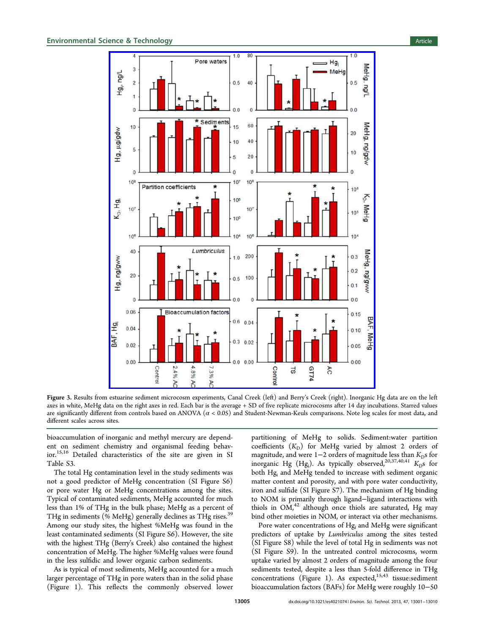#### <span id="page-4-0"></span>**Environmental Science & Technology Article** Article 30 and 30 and 30 and 30 and 30 and 30 and 30 and 30 and 30 and 30 and 30 and 30 and 30 and 30 and 30 and 30 and 30 and 30 and 30 and 30 and 30 and 30 and 30 and 30 and 3



Figure 3. Results from estuarine sediment microcosm experiments, Canal Creek (left) and Berry's Creek (right). Inorganic Hg data are on the left axes in white, MeHg data on the right axes in red. Each bar is the average + SD of five replicate microcosms after 14 day incubations. Starred values are significantly different from controls based on ANOVA  $(\alpha < 0.05)$  and Student-Newman-Keuls comparisons. Note log scales for most data, and different scales across sites.

bioaccumulation of inorganic and methyl mercury are dependent on sediment chemistry and organismal feeding behavior.[15,16](#page-8-0) Detailed characteristics of the site are given in [SI](#page-7-0) Table S3.

The total Hg contamination level in the study sediments was not a good predictor of MeHg concentration ([SI](#page-7-0) Figure S6) or pore water Hg or MeHg concentrations among the sites. Typical of contaminated sediments, MeHg accounted for much less than 1% of THg in the bulk phase; MeHg as a percent of THg in sediments (% MeHg) generally declines as THg rises.<sup>[39](#page-8-0)</sup> Among our study sites, the highest %MeHg was found in the least contaminated sediments [\(SI](#page-7-0) Figure S6). However, the site with the highest THg (Berry's Creek) also contained the highest concentration of MeHg. The higher %MeHg values were found in the less sulfidic and lower organic carbon sediments.

As is typical of most sediments, MeHg accounted for a much larger percentage of THg in pore waters than in the solid phase (Figure [1\)](#page-2-0). This reflects the commonly observed lower partitioning of MeHg to solids. Sediment:water partition coefficients  $(K_D)$  for MeHg varied by almost 2 orders of magnitude, and were  $1-2$  orders of magnitude less than  $K<sub>D</sub>$ s for inorganic Hg (Hg<sub>i</sub>). As typically observed,<sup>[20](#page-8-0),[37,40,41](#page-8-0)</sup>  $K_{\rm D}$ s for both Hg<sub>i</sub> and MeHg tended to increase with sediment organic matter content and porosity, and with pore water conductivity, iron and sulfide ([SI](#page-7-0) Figure S7). The mechanism of Hg binding to NOM is primarily through ligand−ligand interactions with thiols in  $OM<sub>1</sub><sup>42</sup>$  $OM<sub>1</sub><sup>42</sup>$  $OM<sub>1</sub><sup>42</sup>$  although once thiols are saturated, Hg may bind other moieties in NOM, or interact via other mechanisms.

Pore water concentrations of Hg<sub>i</sub> and MeHg were significant predictors of uptake by Lumbriculus among the sites tested [\(SI](#page-7-0) Figure S8) while the level of total Hg in sediments was not [\(SI](#page-7-0) Figure S9). In the untreated control microcosms, worm uptake varied by almost 2 orders of magnitude among the four sediments tested, despite a less than 5-fold difference in THg concentrations (Figure [1\)](#page-2-0). As expected,<sup>[15](#page-8-0),[43](#page-8-0)</sup> tissue:sediment bioaccumulation factors (BAFs) for MeHg were roughly 10−50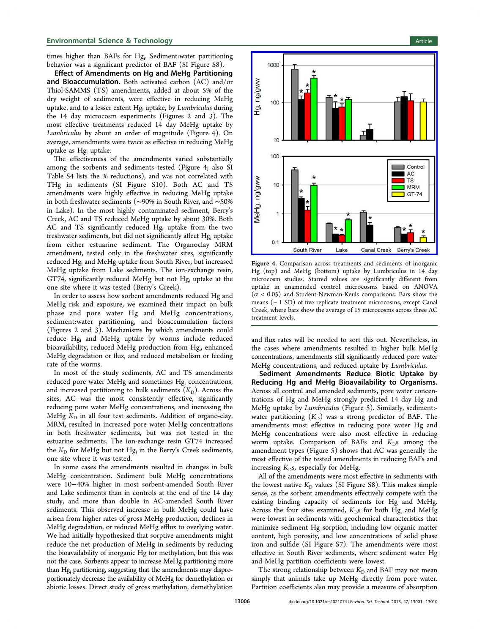#### **Environmental Science & Technology Article** and the state of the state of the state of the state of the state of the state of the state of the state of the state of the state of the state of the state of the state of the

times higher than BAFs for Hgi . Sediment:water partitioning behavior was a significant predictor of BAF ([SI](#page-7-0) Figure S8).

Effect of Amendments on Hg and MeHg Partitioning and Bioaccumulation. Both activated carbon (AC) and/or Thiol-SAMMS (TS) amendments, added at about 5% of the dry weight of sediments, were effective in reducing MeHg uptake, and to a lesser extent Hg<sub>i</sub> uptake, by Lumbriculus during the 14 day microcosm experiments (Figures [2](#page-3-0) and [3](#page-4-0)). The most effective treatments reduced 14 day MeHg uptake by Lumbriculus by about an order of magnitude (Figure 4). On average, amendments were twice as effective in reducing MeHg uptake as Hgi uptake.

The effectiveness of the amendments varied substantially among the sorbents and sediments tested (Figure 4; also [SI](#page-7-0) Table S4 lists the % reductions), and was not correlated with THg in sediments [\(SI](#page-7-0) Figure S10). Both AC and TS amendments were highly effective in reducing MeHg uptake in both freshwater sediments (∼90% in South River, and ∼50% in Lake). In the most highly contaminated sediment, Berry's Creek, AC and TS reduced MeHg uptake by about 30%. Both AC and TS significantly reduced Hgi uptake from the two freshwater sediments, but did not significantly affect Hg<sub>i</sub> uptake from either estuarine sediment. The Organoclay MRM amendment, tested only in the freshwater sites, significantly reduced Hgi and MeHg uptake from South River, but increased MeHg uptake from Lake sediments. The ion-exchange resin, GT74, significantly reduced MeHg but not Hgi uptake at the one site where it was tested (Berry's Creek).

In order to assess how sorbent amendments reduced Hg and MeHg risk and exposure, we examined their impact on bulk phase and pore water Hg and MeHg concentrations, sediment:water partitioning, and bioaccumulation factors (Figures [2](#page-3-0) and [3](#page-4-0)). Mechanisms by which amendments could reduce Hgi and MeHg uptake by worms include reduced bioavailability, reduced MeHg production from Hg<sub>i</sub>, enhanced MeHg degradation or flux, and reduced metabolism or feeding rate of the worms.

In most of the study sediments, AC and TS amendments reduced pore water MeHg and sometimes Hg<sub>i</sub> concentrations, and increased partitioning to bulk sediments  $(K_D)$ . Across the sites, AC was the most consistently effective, significantly reducing pore water MeHg concentrations, and increasing the MeHg  $K_D$  in all four test sediments. Addition of organo-clay, MRM, resulted in increased pore water MeHg concentrations in both freshwater sediments, but was not tested in the estuarine sediments. The ion-exchange resin GT74 increased the  $K_D$  for MeHg but not Hg<sub>i</sub> in the Berry's Creek sediments, one site where it was tested.

In some cases the amendments resulted in changes in bulk MeHg concentration. Sediment bulk MeHg concentrations were 10−40% higher in most sorbent-amended South River and Lake sediments than in controls at the end of the 14 day study, and more than double in AC-amended South River sediments. This observed increase in bulk MeHg could have arisen from higher rates of gross MeHg production, declines in MeHg degradation, or reduced MeHg efflux to overlying water. We had initially hypothesized that sorptive amendments might reduce the net production of MeHg in sediments by reducing the bioavailability of inorganic Hg for methylation, but this was not the case. Sorbents appear to increase MeHg partitioning more than Hg<sub>i</sub> partitioning, suggesting that the amendments may disproportionately decrease the availability of MeHg for demethylation or abiotic losses. Direct study of gross methylation, demethylation



Figure 4. Comparison across treatments and sediments of inorganic Hg (top) and MeHg (bottom) uptake by Lumbriculus in 14 day microcosm studies. Starred values are significantly different from uptake in unamended control microcosms based on ANOVA  $(\alpha < 0.05)$  and Student-Newman-Keuls comparisons. Bars show the means (+ 1 SD) of five replicate treatment microcosms, except Canal Creek, where bars show the average of 15 microcosms across three AC treatment levels.

and flux rates will be needed to sort this out. Nevertheless, in the cases where amendments resulted in higher bulk MeHg concentrations, amendments still significantly reduced pore water MeHg concentrations, and reduced uptake by Lumbriculus.

Sediment Amendments Reduce Biotic Uptake by Reducing Hg and MeHg Bioavailability to Organisms. Across all control and amended sediments, pore water concentrations of Hg and MeHg strongly predicted 14 day Hg and MeHg uptake by Lumbriculus (Figure [5](#page-6-0)). Similarly, sediment: water partitioning  $(K_D)$  was a strong predictor of BAF. The amendments most effective in reducing pore water Hg and MeHg concentrations were also most effective in reducing worm uptake. Comparison of BAFs and  $K<sub>D</sub>$ s among the amendment types (Figure [5\)](#page-6-0) shows that AC was generally the most effective of the tested amendments in reducing BAFs and increasing  $K<sub>D</sub>$ s, especially for MeHg.

All of the amendments were most effective in sediments with the lowest native  $K_D$  values [\(SI](#page-7-0) Figure S8). This makes simple sense, as the sorbent amendments effectively compete with the existing binding capacity of sediments for Hg and MeHg. Across the four sites examined,  $K<sub>D</sub>$ s for both Hg<sub>i</sub> and MeHg were lowest in sediments with geochemical characteristics that minimize sediment Hg sorption, including low organic matter content, high porosity, and low concentrations of solid phase iron and sulfide ([SI](#page-7-0) Figure S7). The amendments were most effective in South River sediments, where sediment water Hg and MeHg partition coefficients were lowest.

The strong relationship between  $K<sub>D</sub>$  and BAF may not mean simply that animals take up MeHg directly from pore water. Partition coefficients also may provide a measure of absorption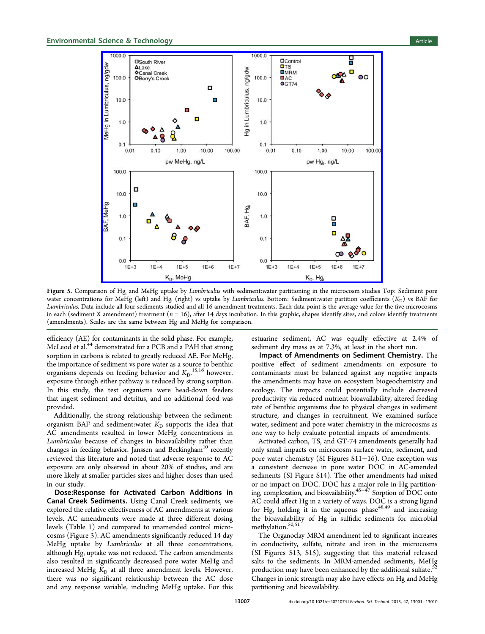<span id="page-6-0"></span>

Figure 5. Comparison of Hg<sub>i</sub> and MeHg uptake by Lumbriculus with sediment:water partitioning in the microcosm studies Top: Sediment pore water concentrations for MeHg (left) and Hg<sub>i</sub> (right) vs uptake by *Lumbriculus*. Bottom: Sediment:water partition coefficients  $(K_D)$  vs BAF for Lumbriculus. Data include all four sediments studied and all 16 amendment treatments. Each data point is the average value for the five microcosms in each (sediment X amendment) treatment ( $n = 16$ ), after 14 days incubation. In this graphic, shapes identify sites, and colors identify treatments (amendments). Scales are the same between Hg and MeHg for comparison.

efficiency (AE) for contaminants in the solid phase. For example, McLeod et al.<sup>[44](#page-8-0)</sup> demonstrated for a PCB and a PAH that strong sorption in carbons is related to greatly reduced AE. For MeHg, the importance of sediment vs pore water as a source to benthic organisms depends on feeding behavior and  $K_{\text{D}}$ ,  $^{15,16}$  $^{15,16}$  $^{15,16}$  however, exposure through either pathway is reduced by strong sorption. In this study, the test organisms were head-down feeders that ingest sediment and detritus, and no additional food was provided.

Additionally, the strong relationship between the sediment: organism BAF and sediment: water  $K_D$  supports the idea that AC amendments resulted in lower MeHg concentrations in Lumbriculus because of changes in bioavailability rather than changes in feeding behavior. Janssen and Beckingham<sup>10</sup> recently reviewed this literature and noted that adverse response to AC exposure are only observed in about 20% of studies, and are more likely at smaller particles sizes and higher doses than used in our study.

Dose:Response for Activated Carbon Additions in Canal Creek Sediments. Using Canal Creek sediments, we explored the relative effectiveness of AC amendments at various levels. AC amendments were made at three different dosing levels (Table [1\)](#page-1-0) and compared to unamended control microcosms (Figure [3](#page-4-0)). AC amendments significantly reduced 14 day MeHg uptake by Lumbriculus at all three concentrations, although Hg<sub>i</sub> uptake was not reduced. The carbon amendments also resulted in significantly decreased pore water MeHg and increased MeHg  $K<sub>D</sub>$  at all three amendment levels. However, there was no significant relationship between the AC dose and any response variable, including MeHg uptake. For this

estuarine sediment, AC was equally effective at 2.4% of sediment dry mass as at 7.3%, at least in the short run.

Impact of Amendments on Sediment Chemistry. The positive effect of sediment amendments on exposure to contaminants must be balanced against any negative impacts the amendments may have on ecosystem biogeochemistry and ecology. The impacts could potentially include decreased productivity via reduced nutrient bioavailability, altered feeding rate of benthic organisms due to physical changes in sediment structure, and changes in recruitment. We examined surface water, sediment and pore water chemistry in the microcosms as one way to help evaluate potential impacts of amendments.

Activated carbon, TS, and GT-74 amendments generally had only small impacts on microcosm surface water, sediment, and pore water chemistry ([SI](#page-7-0) Figures S11−16). One exception was a consistent decrease in pore water DOC in AC-amended sediments [\(SI](#page-7-0) Figure S14). The other amendments had mixed or no impact on DOC. DOC has a major role in Hg partitioning, complexation, and bioavailability[.45](#page-8-0)<sup>−</sup>[47](#page-8-0) Sorption of DOC onto AC could affect Hg in a variety of ways. DOC is a strong ligand for Hg, holding it in the aqueous phase  $48,49$  and increasing the bioavailability of Hg in sulfidic sediments for microbial methylation.<sup>[50,](#page-8-0)[51](#page-9-0)</sup>

The Organoclay MRM amendment led to significant increases in conductivity, sulfate, nitrate and iron in the microcosms [\(SI](#page-7-0) Figures S13, S15), suggesting that this material released salts to the sediments. In MRM-amended sediments, MeHg production may have been enhanced by the additional sulfate. $^{52}$  $^{52}$  $^{52}$ Changes in ionic strength may also have effects on Hg and MeHg partitioning and bioavailability.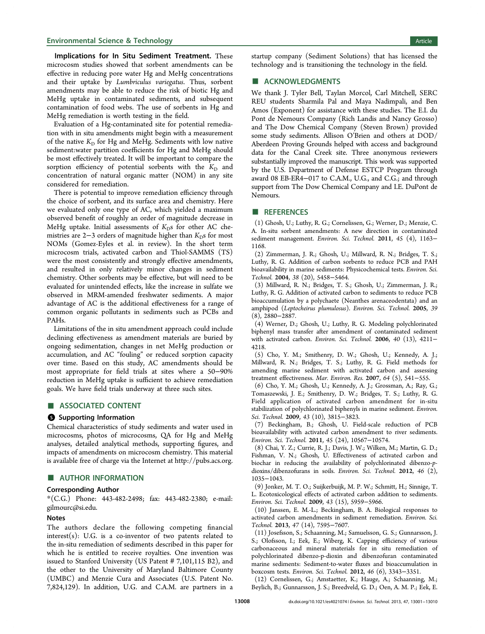#### <span id="page-7-0"></span>**Environmental Science & Technology Article** Article 30 and 30 and 30 and 30 and 30 and 30 and 30 and 30 and 30 and 30 and 30 and 30 and 30 and 30 and 30 and 30 and 30 and 30 and 30 and 30 and 30 and 30 and 30 and 30 and 3

Implications for In Situ Sediment Treatment. These microcosm studies showed that sorbent amendments can be effective in reducing pore water Hg and MeHg concentrations and their uptake by Lumbriculus variegatus. Thus, sorbent amendments may be able to reduce the risk of biotic Hg and MeHg uptake in contaminated sediments, and subsequent contamination of food webs. The use of sorbents in Hg and MeHg remediation is worth testing in the field.

Evaluation of a Hg-contaminated site for potential remediation with in situ amendments might begin with a measurement of the native  $K_D$  for Hg and MeHg. Sediments with low native sediment:water partition coefficients for Hg and MeHg should be most effectively treated. It will be important to compare the sorption efficiency of potential sorbents with the  $K_D$  and concentration of natural organic matter (NOM) in any site considered for remediation.

There is potential to improve remediation efficiency through the choice of sorbent, and its surface area and chemistry. Here we evaluated only one type of AC, which yielded a maximum observed benefit of roughly an order of magnitude decrease in MeHg uptake. Initial assessments of  $K<sub>D</sub>$ s for other AC chemistries are  $2-3$  orders of magnitude higher than  $K<sub>D</sub>$ s for most NOMs (Gomez-Eyles et al. in review). In the short term microcosm trials, activated carbon and Thiol-SAMMS (TS) were the most consistently and strongly effective amendments, and resulted in only relatively minor changes in sediment chemistry. Other sorbents may be effective, but will need to be evaluated for unintended effects, like the increase in sulfate we observed in MRM-amended freshwater sediments. A major advantage of AC is the additional effectiveness for a range of common organic pollutants in sediments such as PCBs and PAHs.

Limitations of the in situ amendment approach could include declining effectiveness as amendment materials are buried by ongoing sedimentation, changes in net MeHg production or accumulation, and AC "fouling" or reduced sorption capacity over time. Based on this study, AC amendments should be most appropriate for field trials at sites where a 50−90% reduction in MeHg uptake is sufficient to achieve remediation goals. We have field trials underway at three such sites.

#### ■ ASSOCIATED CONTENT

#### **6** Supporting Information

Chemical characteristics of study sediments and water used in microcosms, photos of microcosms, QA for Hg and MeHg analyses, detailed analytical methods, supporting figures, and impacts of amendments on microcosm chemistry. This material is available free of charge via the Internet at<http://pubs.acs.org>.

#### ■ AUTHOR INFORMATION

#### Corresponding Author

\*(C.G.) Phone: 443-482-2498; fax: 443-482-2380; e-mail: [gilmourc@si.edu.](mailto:gilmourc@si.edu)

#### Notes

The authors declare the following competing financial  $interest(s)$ : U.G. is a co-inventor of two patents related to the in-situ remediation of sediments described in this paper for which he is entitled to receive royalties. One invention was issued to Stanford University (US Patent # 7,101,115 B2), and the other to the University of Maryland Baltimore County (UMBC) and Menzie Cura and Associates (U.S. Patent No. 7,824,129). In addition, U.G. and C.A.M. are partners in a

startup company (Sediment Solutions) that has licensed the technology and is transitioning the technology in the field.

#### ■ ACKNOWLEDGMENTS

We thank J. Tyler Bell, Taylan Morcol, Carl Mitchell, SERC REU students Sharmila Pal and Maya Nadimpali, and Ben Amos (Exponent) for assistance with these studies. The E.I. du Pont de Nemours Company (Rich Landis and Nancy Grosso) and The Dow Chemical Company (Steven Brown) provided some study sediments. Allison O'Brien and others at DOD/ Aberdeen Proving Grounds helped with access and background data for the Canal Creek site. Three anonymous reviewers substantially improved the manuscript. This work was supported by the U.S. Department of Defense ESTCP Program through award 08 EB-ER4−017 to C.A.M., U.G., and C.G.; and through support from The Dow Chemical Company and I.E. DuPont de Nemours.

#### ■ REFERENCES

(1) Ghosh, U.; Luthy, R. G.; Cornelissen, G.; Werner, D.; Menzie, C. A. In-situ sorbent amendments: A new direction in contaminated sediment management. Environ. Sci. Technol. 2011, 45 (4), 1163− 1168.

(2) Zimmerman, J. R.; Ghosh, U.; Millward, R. N.; Bridges, T. S.; Luthy, R. G. Addition of carbon sorbents to reduce PCB and PAH bioavailability in marine sediments: Physicochemical tests. Environ. Sci. Technol. 2004, 38 (20), 5458−5464.

(3) Millward, R. N.; Bridges, T. S.; Ghosh, U.; Zimmerman, J. R.; Luthy, R. G. Addition of activated carbon to sediments to reduce PCB bioaccumulation by a polychaete (Neanthes arenaceodentata) and an amphipod (Leptocheirus plumulosus). Environ. Sci. Technol. 2005, 39 (8), 2880−2887.

(4) Werner, D.; Ghosh, U.; Luthy, R. G. Modeling polychlorinated biphenyl mass transfer after amendment of contaminated sediment with activated carbon. Environ. Sci. Technol. 2006, 40 (13), 4211-4218.

(5) Cho, Y. M.; Smithenry, D. W.; Ghosh, U.; Kennedy, A. J.; Millward, R. N.; Bridges, T. S.; Luthy, R. G. Field methods for amending marine sediment with activated carbon and assessing treatment effectiveness. Mar. Environ. Res. 2007, 64 (5), 541−555.

(6) Cho, Y. M.; Ghosh, U.; Kennedy, A. J.; Grossman, A.; Ray, G.; Tomaszewski, J. E.; Smithenry, D. W.; Bridges, T. S.; Luthy, R. G. Field application of activated carbon amendment for in-situ stabilization of polychlorinated biphenyls in marine sediment. Environ. Sci. Technol. 2009, 43 (10), 3815−3823.

(7) Beckingham, B.; Ghosh, U. Field-scale reduction of PCB bioavailability with activated carbon amendment to river sediments. Environ. Sci. Technol. 2011, 45 (24), 10567−10574.

(8) Chai, Y. Z.; Currie, R. J.; Davis, J. W.; Wilken, M.; Martin, G. D.; Fishman, V. N.; Ghosh, U. Effectiveness of activated carbon and biochar in reducing the availability of polychlorinated dibenzo-pdioxins/dibenzofurans in soils. Environ. Sci. Technol. 2012, 46 (2), 1035−1043.

(9) Jonker, M. T. O.; Suijkerbuijk, M. P. W.; Schmitt, H.; Sinnige, T. L. Ecotoxicological effects of activated carbon addition to sediments. Environ. Sci. Technol. 2009, 43 (15), 5959−5966.

(10) Janssen, E. M.-L.; Beckingham, B. A. Biological responses to activated carbon amendments in sediment remediation. Environ. Sci. Technol. 2013, 47 (14), 7595−7607.

(11) Josefsson, S.; Schaanning, M.; Samuelsson, G. S.; Gunnarsson, J. S.; Olofsson, I.; Eek, E.; Wiberg, K. Capping efficiency of various carbonaceous and mineral materials for in situ remediation of polychlorinated dibenzo-p-dioxin and dibenzofuran contaminated marine sediments: Sediment-to-water fluxes and bioaccumulation in boxcosm tests. Environ. Sci. Technol. 2012, 46 (6), 3343−3351.

(12) Cornelissen, G.; Amstaetter, K.; Hauge, A.; Schaanning, M.; Beylich, B.; Gunnarsson, J. S.; Breedveld, G. D.; Oen, A. M. P.; Eek, E.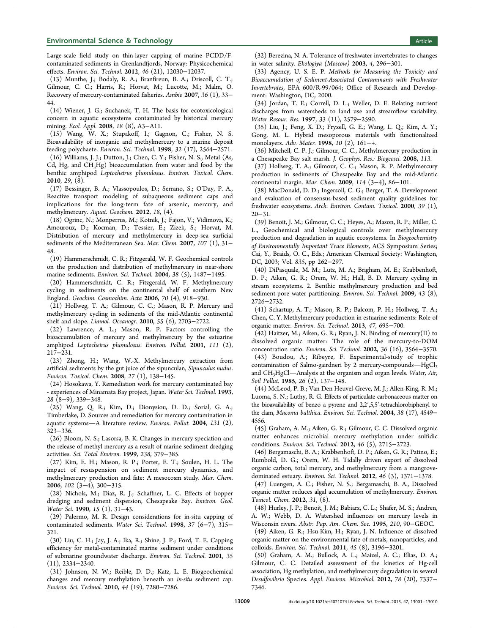<span id="page-8-0"></span>Large-scale field study on thin-layer capping of marine PCDD/Fcontaminated sediments in Grenlandfjords, Norway: Physicochemical effects. Environ. Sci. Technol. 2012, 46 (21), 12030−12037.

(13) Munthe, J.; Bodaly, R. A.; Branfireun, B. A.; Driscoll, C. T.; Gilmour, C. C.; Harris, R.; Horvat, M.; Lucotte, M.; Malm, O. Recovery of mercury-contaminated fisheries. Ambio 2007, 36 (1), 33− 44.

(14) Wiener, J. G.; Suchanek, T. H. The basis for ecotoxicological concern in aquatic ecosystems contaminated by historical mercury mining. Ecol. Appl. 2008, 18 (8), A3−A11.

(15) Wang, W. X.; Stupakoff, I.; Gagnon, C.; Fisher, N. S. Bioavailability of inorganic and methylmercury to a marine deposit feeding polychaete. Environ. Sci. Technol. 1998, 32 (17), 2564−2571.

(16) Williams, J. J.; Dutton, J.; Chen, C. Y.; Fisher, N. S., Metal (As, Cd, Hg, and  $CH<sub>3</sub>Hg$ ) bioaccumulation from water and food by the benthic amphipod Leptocheirus plumulosus. Environ. Toxicol. Chem. 2010, 29, (8).

(17) Bessinger, B. A.; Vlassopoulos, D.; Serrano, S.; O'Day, P. A., Reactive transport modeling of subaqueous sediment caps and implications for the long-term fate of arsenic, mercury, and methylmercury. Aquat. Geochem. 2012, 18, (4).

(18) Ogrinc, N.; Monperrus, M.; Kotnik, J.; Fajon, V.; Vidimova, K.; Amouroux, D.; Kocman, D.; Tessier, E.; Zizek, S.; Horvat, M. Distribution of mercury and methylmercury in deep-sea surficial sediments of the Mediterranean Sea. Mar. Chem. 2007, 107 (1), 31− 48.

(19) Hammerschmidt, C. R.; Fitzgerald, W. F. Geochemical controls on the production and distribution of methylmercury in near-shore marine sediments. Environ. Sci. Technol. 2004, 38 (5), 1487−1495.

(20) Hammerschmidt, C. R.; Fitzgerald, W. F. Methylmercury cycling in sediments on the continental shelf of southern New England. Geochim. Cosmochim. Acta 2006, 70 (4), 918−930.

(21) Hollweg, T. A.; Gilmour, C. C.; Mason, R. P. Mercury and methylmercury cycling in sediments of the mid-Atlantic continental shelf and slope. Limnol. Oceanogr. 2010, 55 (6), 2703−2722.

(22) Lawrence, A. L.; Mason, R. P. Factors controlling the bioaccumulation of mercury and methylmercury by the estuarine amphipod Leptocheirus plumulosus. Environ. Pollut. 2001, 111 (2), 217−231.

(23) Zhong, H.; Wang, W.-X. Methylmercury extraction from artificial sediments by the gut juice of the sipunculan, Sipunculus nudus. Environ. Toxicol. Chem. 2008, 27 (1), 138−145.

(24) Hosokawa, Y. Remediation work for mercury contaminated bay - experiences of Minamata Bay project, Japan. Water Sci. Technol. 1993, 28 (8−9), 339−348.

(25) Wang, Q. R.; Kim, D.; Dionysiou, D. D.; Sorial, G. A.; Timberlake, D. Sources and remediation for mercury contamination in aquatic systems-A literature review. Environ. Pollut. 2004, 131 (2), 323−336.

(26) Bloom, N. S.; Lasorsa, B. K. Changes in mercury speciation and the release of methyl mercury as a result of marine sediment dredging activities. Sci. Total Environ. 1999, 238, 379−385.

(27) Kim, E. H.; Mason, R. P.; Porter, E. T.; Soulen, H. L. The impact of resuspension on sediment mercury dynamics, and methylmercury production and fate: A mesocosm study. Mar. Chem. 2006, 102 (3−4), 300−315.

(28) Nichols, M.; Diaz, R. J.; Schaffner, L. C. Effects of hopper dredging and sediment dispersion, Chesapeake Bay. Environ. Geol. Water Sci. 1990, 15 (1), 31−43.

(29) Palermo, M. R. Design considerations for in-situ capping of contaminated sediments. Water Sci. Technol. 1998, 37 (6−7), 315− 321.

(30) Liu, C. H.; Jay, J. A.; Ika, R.; Shine, J. P.; Ford, T. E. Capping efficiency for metal-contaminated marine sediment under conditions of submarine groundwater discharge. Environ. Sci. Technol. 2001, 35 (11), 2334−2340.

(31) Johnson, N. W.; Reible, D. D.; Katz, L. E. Biogeochemical changes and mercury methylation beneath an in-situ sediment cap. Environ. Sci. Technol. 2010, 44 (19), 7280−7286.

(32) Berezina, N. A. Tolerance of freshwater invertebrates to changes in water salinity. Ekologiya (Moscow) 2003, 4, 296−301.

(33) Agency, U. S. E. P. Methods for Measuring the Toxicity and Bioaccumulation of Sediment-Associated Contaminants with Freshwater Invertebrates, EPA 600/R-99/064; Office of Research and Development: Washington, DC, 2000.

(34) Jordan, T. E.; Correll, D. L.; Weller, D. E. Relating nutrient discharges from watersheds to land use and streamflow variability. Water Resour. Res. 1997, 33 (11), 2579−2590.

(35) Liu, J.; Feng, X. D.; Fryxell, G. E.; Wang, L. Q.; Kim, A. Y.; Gong, M. L. Hybrid mesoporous materials with functionalized monolayers. Adv. Mater. 1998, 10 (2), 161−+.

(36) Mitchell, C. P. J.; Gilmour, C. C., Methylmercury production in a Chesapeake Bay salt marsh. J. Geophys. Res.: Biogeosci. 2008, 113.

(37) Hollweg, T. A.; Gilmour, C. C.; Mason, R. P. Methylmercury production in sediments of Chesapeake Bay and the mid-Atlantic continental margin. Mar. Chem. 2009, 114 (3−4), 86−101.

(38) MacDonald, D. D.; Ingersoll, C. G.; Berger, T. A. Development and evaluation of consensus-based sediment quality guidelines for freshwater ecosystems. Arch. Environ. Contam. Toxicol. 2000, 39 (1), 20−31.

(39) Benoit, J. M.; Gilmour, C. C.; Heyes, A.; Mason, R. P.; Miller, C. L., Geochemical and biological controls over methylmercury production and degradation in aquatic ecosystems. In Biogeochemistry of Environmentally Important Trace Elements, ACS Symposium Series; Cai, Y., Braids, O. C., Eds.; American Chemical Society: Washington, DC, 2003; Vol. 835, pp 262−297.

(40) DiPasquale, M. M.; Lutz, M. A.; Brigham, M. E.; Krabbenhoft, D. P.; Aiken, G. R.; Orem, W. H.; Hall, B. D. Mercury cycling in stream ecosystems. 2. Benthic methylmercury production and bed sediment-pore water partitioning. Environ. Sci. Technol. 2009, 43 (8), 2726−2732.

(41) Schartup, A. T.; Mason, R. P.; Balcom, P. H.; Hollweg, T. A.; Chen, C. Y. Methylmercury production in estuarine sediments: Role of organic matter. Environ. Sci. Technol. 2013, 47, 695−700.

(42) Haitzer, M.; Aiken, G. R.; Ryan, J. N. Binding of mercury(II) to dissolved organic matter: The role of the mercury-to-DOM concentration ratio. Environ. Sci. Technol. 2002, 36 (16), 3564−3570.

(43) Boudou, A.; Ribeyre, F. Experimental-study of trophic contamination of Salmo-gairdneri by 2 mercury-compounds- $HgCl<sub>2</sub>$ and CH<sub>3</sub>HgCl-Analysis at the organism and organ levels. Water, Air, Soil Pollut. 1985, 26 (2), 137−148.

(44) McLeod, P. B.; Van Den Heuvel-Greve, M. J.; Allen-King, R. M.; Luoma, S. N.; Luthy, R. G. Effects of particulate carbonaceous matter on the bioavailability of benzo a pyrene and 2,2′,5,5′-tetrachlorobiphenyl to the clam, Macoma balthica. Environ. Sci. Technol. 2004, 38 (17), 4549− 4556.

(45) Graham, A. M.; Aiken, G. R.; Gilmour, C. C. Dissolved organic matter enhances microbial mercury methylation under sulfidic conditions. Environ. Sci. Technol. 2012, 46 (5), 2715−2723.

(46) Bergamaschi, B. A.; Krabbenhoft, D. P.; Aiken, G. R.; Patino, E.; Rumbold, D. G.; Orem, W. H. Tidally driven export of dissolved organic carbon, total mercury, and methylmercury from a mangrovedominated estuary. Environ. Sci. Technol. 2012, 46 (3), 1371−1378.

(47) Luengen, A. C.; Fisher, N. S.; Bergamaschi, B. A., Dissolved organic matter reduces algal accumulation of methylmercury. Environ. Toxicol. Chem. 2012, 31, (8).

(48) Hurley, J. P.; Benoit, J. M.; Babiarz, C. L.; Shafer, M. S.; Andren, A. W.; Webb, D. A. Watershed influences on mercury levels in Wisconsin rivers. Abstr. Pap. Am. Chem. Soc. 1995, 210, 90−GEOC.

(49) Aiken, G. R.; Hsu-Kim, H.; Ryan, J. N. Influence of dissolved organic matter on the environmental fate of metals, nanoparticles, and colloids. Environ. Sci. Technol. 2011, 45 (8), 3196−3201.

(50) Graham, A. M.; Bullock, A. L.; Maizel, A. C.; Elias, D. A.; Gilmour, C. C. Detailed assessment of the kinetics of Hg-cell association, Hg methylation, and methylmercury degradation in several Desulfovibrio Species. Appl. Environ. Microbiol. 2012, 78 (20), 7337− 7346.